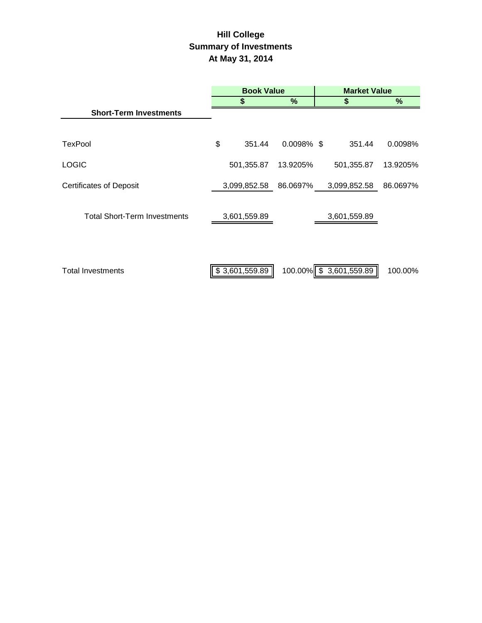# **Hill College Summary of Investments At May 31, 2014**

|                                     | <b>Book Value</b> |                |               | <b>Market Value</b> |                         |          |
|-------------------------------------|-------------------|----------------|---------------|---------------------|-------------------------|----------|
|                                     |                   | 5              | %             |                     | \$                      | %        |
| <b>Short-Term Investments</b>       |                   |                |               |                     |                         |          |
| TexPool                             | \$                | 351.44         | $0.0098\%$ \$ |                     | 351.44                  | 0.0098%  |
| <b>LOGIC</b>                        |                   | 501,355.87     | 13.9205%      |                     | 501,355.87              | 13.9205% |
| <b>Certificates of Deposit</b>      |                   | 3,099,852.58   | 86.0697%      |                     | 3,099,852.58            | 86.0697% |
| <b>Total Short-Term Investments</b> |                   | 3,601,559.89   |               |                     | 3,601,559.89            |          |
| <b>Total Investments</b>            |                   | \$3,601,559.89 |               |                     | 100.00% \$ 3,601,559.89 | 100.00%  |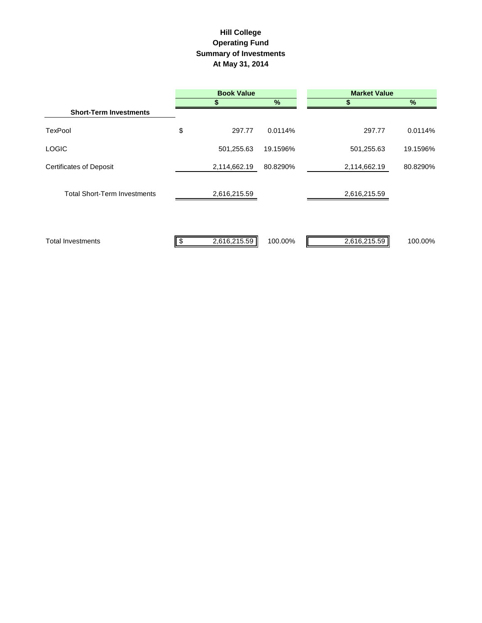## **Hill College Operating Fund Summary of Investments At May 31, 2014**

|                                     | <b>Book Value</b> |              | <b>Market Value</b> |              |          |
|-------------------------------------|-------------------|--------------|---------------------|--------------|----------|
|                                     |                   |              | $\frac{9}{6}$       | S            | $\%$     |
| <b>Short-Term Investments</b>       |                   |              |                     |              |          |
| <b>TexPool</b>                      | \$                | 297.77       | 0.0114%             | 297.77       | 0.0114%  |
| <b>LOGIC</b>                        |                   | 501,255.63   | 19.1596%            | 501,255.63   | 19.1596% |
| <b>Certificates of Deposit</b>      |                   | 2,114,662.19 | 80.8290%            | 2,114,662.19 | 80.8290% |
| <b>Total Short-Term Investments</b> |                   | 2,616,215.59 |                     | 2,616,215.59 |          |
| <b>Total Investments</b>            |                   | 2,616,215.59 | 100.00%             | 2,616,215.59 | 100.00%  |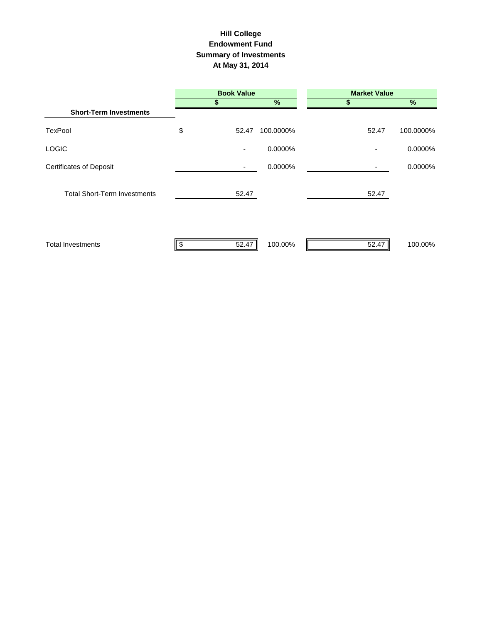#### **Summary of Investments At May 31, 2014 Hill College Endowment Fund**

|                                     | <b>Book Value</b> |           | <b>Market Value</b> |               |
|-------------------------------------|-------------------|-----------|---------------------|---------------|
|                                     |                   | %         |                     | $\frac{9}{6}$ |
| <b>Short-Term Investments</b>       |                   |           |                     |               |
| TexPool                             | \$<br>52.47       | 100.0000% | 52.47               | 100.0000%     |
| <b>LOGIC</b>                        | ٠                 | 0.0000%   | ٠                   | 0.0000%       |
| <b>Certificates of Deposit</b>      |                   | 0.0000%   |                     | 0.0000%       |
| <b>Total Short-Term Investments</b> | 52.47             |           | 52.47               |               |
| <b>Total Investments</b>            | 52.47<br>\$       | 100.00%   | 52.47               | 100.00%       |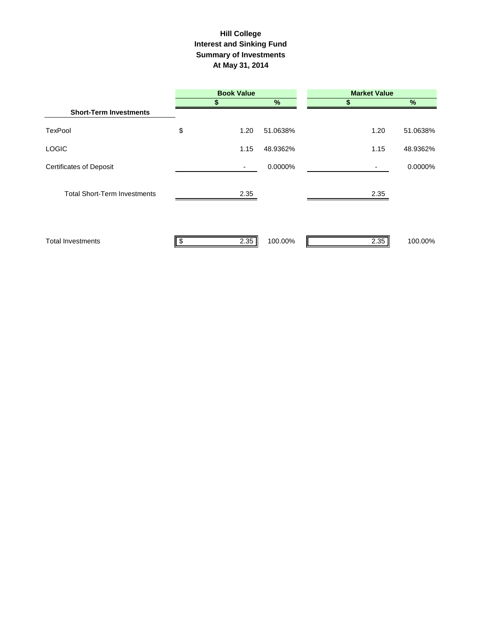#### **Interest and Sinking Fund Summary of Investments At May 31, 2014 Hill College**

|                                     | <b>Book Value</b> |          | <b>Market Value</b> |          |
|-------------------------------------|-------------------|----------|---------------------|----------|
|                                     |                   | %        |                     | $\%$     |
| <b>Short-Term Investments</b>       |                   |          |                     |          |
| <b>TexPool</b>                      | \$<br>1.20        | 51.0638% | 1.20                | 51.0638% |
| <b>LOGIC</b>                        | 1.15              | 48.9362% | 1.15                | 48.9362% |
| <b>Certificates of Deposit</b>      | ٠                 | 0.0000%  |                     | 0.0000%  |
| <b>Total Short-Term Investments</b> | 2.35              |          | 2.35                |          |
| <b>Total Investments</b>            | 2.35              | 100.00%  | 2.35                | 100.00%  |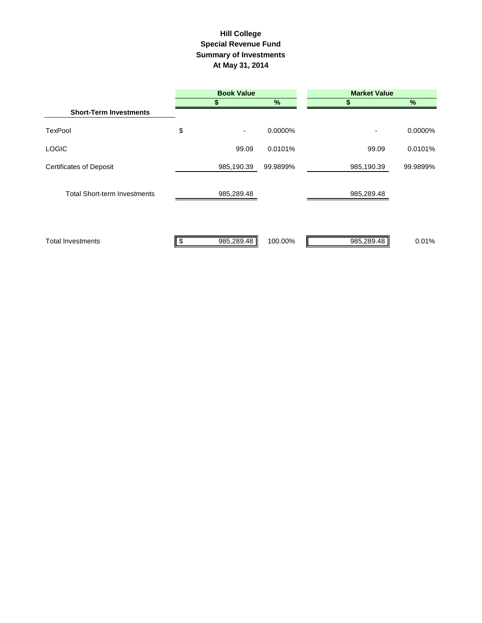## **Summary of Investments At May 31, 2014 Special Revenue Fund Hill College**

|                                     | <b>Book Value</b> |          | <b>Market Value</b> |               |  |
|-------------------------------------|-------------------|----------|---------------------|---------------|--|
|                                     |                   | $\%$     |                     | $\frac{9}{6}$ |  |
| <b>Short-Term Investments</b>       |                   |          |                     |               |  |
| <b>TexPool</b>                      | \$<br>٠           | 0.0000%  | ٠                   | 0.0000%       |  |
| <b>LOGIC</b>                        | 99.09             | 0.0101%  | 99.09               | 0.0101%       |  |
| <b>Certificates of Deposit</b>      | 985,190.39        | 99.9899% | 985,190.39          | 99.9899%      |  |
| <b>Total Short-term Investments</b> | 985,289.48        |          | 985,289.48          |               |  |
| <b>Total Investments</b>            | 985,289.48<br>Ъ   | 100.00%  | 985,289.48          | 0.01%         |  |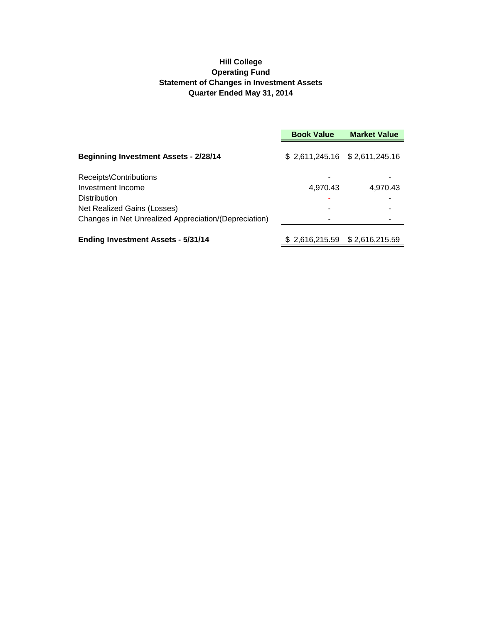## **Hill College Operating Fund Statement of Changes in Investment Assets Quarter Ended May 31, 2014**

|                                                       | <b>Book Value</b>               | <b>Market Value</b> |
|-------------------------------------------------------|---------------------------------|---------------------|
| <b>Beginning Investment Assets - 2/28/14</b>          | $$2,611,245.16$ $$2,611,245.16$ |                     |
| Receipts\Contributions                                |                                 |                     |
| Investment Income                                     | 4,970.43                        | 4,970.43            |
| Distribution                                          |                                 |                     |
| Net Realized Gains (Losses)                           |                                 |                     |
| Changes in Net Unrealized Appreciation/(Depreciation) |                                 |                     |
| <b>Ending Investment Assets - 5/31/14</b>             | $$2,616,215.59$ $$2,616,215.59$ |                     |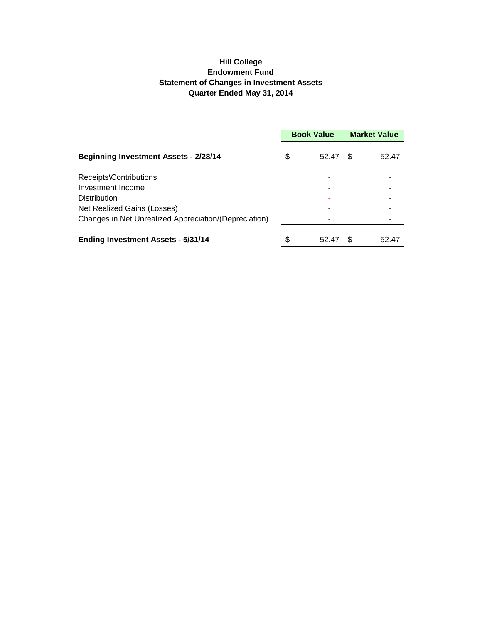## **Hill College Endowment Fund Statement of Changes in Investment Assets Quarter Ended May 31, 2014**

|                                                       | <b>Book Value</b> |       | <b>Market Value</b> |       |
|-------------------------------------------------------|-------------------|-------|---------------------|-------|
| <b>Beginning Investment Assets - 2/28/14</b>          | \$                | 52.47 | \$.                 | 52.47 |
| Receipts\Contributions                                |                   |       |                     |       |
| Investment Income                                     |                   |       |                     |       |
| Distribution                                          |                   |       |                     |       |
| Net Realized Gains (Losses)                           |                   |       |                     |       |
| Changes in Net Unrealized Appreciation/(Depreciation) |                   |       |                     |       |
| <b>Ending Investment Assets - 5/31/14</b>             | \$                | 52.47 | \$.                 | 52.47 |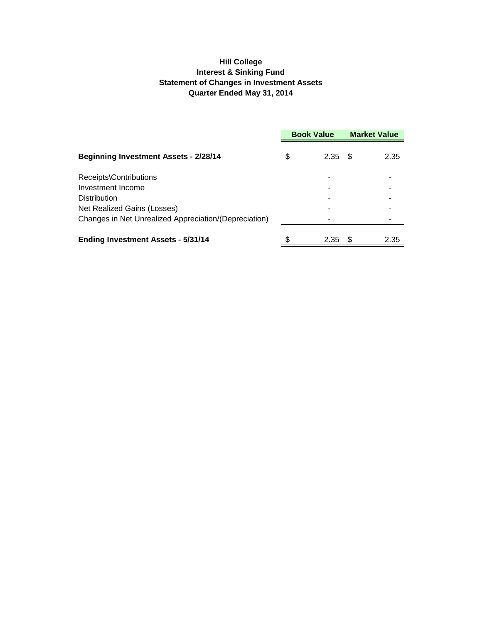## **Hill College Interest & Sinking Fund Statement of Changes in Investment Assets Quarter Ended May 31, 2014**

|                                                       | <b>Book Value</b> |           | <b>Market Value</b> |      |
|-------------------------------------------------------|-------------------|-----------|---------------------|------|
| <b>Beginning Investment Assets - 2/28/14</b>          | \$                | $2.35$ \$ |                     | 2.35 |
| Receipts\Contributions                                |                   |           |                     |      |
| Investment Income                                     |                   |           |                     |      |
| <b>Distribution</b>                                   |                   |           |                     |      |
| Net Realized Gains (Losses)                           |                   |           |                     |      |
| Changes in Net Unrealized Appreciation/(Depreciation) |                   |           |                     |      |
| <b>Ending Investment Assets - 5/31/14</b>             | \$                | 2.35      | S                   | 2.35 |